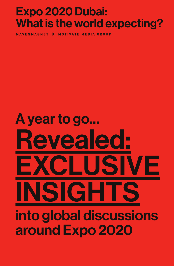## Expo 2020 Dubai: What is the world expecting?

**MAVENMAGNET X MOTIVATE MEDIA GROUP**

# Revealed: EXCLUSIVE NSIGHT into global discussions around Expo 2020 A year to go…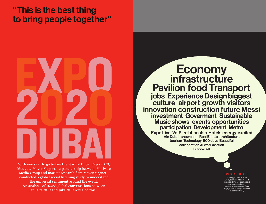# "This is the best thing to bring people together"



With one year to go before the start of Dubai Expo 2020, Motivate MavenMagnet – a partnership between Motivate Media Group and market research firm MavenMagnet – conducted a global social listening study to understand the universal sentiment around the event. An analysis of 16,285 global conversations between January 2019 and July 2019 revealed this...



The bigger the size of the word, the more interactions it generated. Impact is calculated as a measure of reach (passive readers/viewers) and engagement (active participants in conversations)

### infrastructure Economy Pavilion food Transport culture airport growth visitors jobs Experience Design biggest innovation construction future Messi investment Goverment Sustainable Music shows events opportunities participation Development Metro Expo Live VoIP relationship Hotels energy excited

collaboration Al Wasl aviation tourism Technology 500 days Beautiful Ain Dubai showcase Real Estate architecture Exhibition 5G